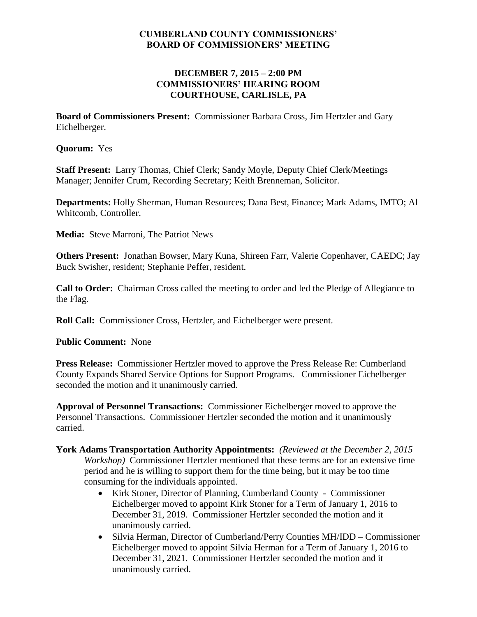## **CUMBERLAND COUNTY COMMISSIONERS' BOARD OF COMMISSIONERS' MEETING**

## **DECEMBER 7, 2015 – 2:00 PM COMMISSIONERS' HEARING ROOM COURTHOUSE, CARLISLE, PA**

**Board of Commissioners Present:** Commissioner Barbara Cross, Jim Hertzler and Gary Eichelberger.

**Quorum:** Yes

**Staff Present:** Larry Thomas, Chief Clerk; Sandy Moyle, Deputy Chief Clerk/Meetings Manager; Jennifer Crum, Recording Secretary; Keith Brenneman, Solicitor.

**Departments:** Holly Sherman, Human Resources; Dana Best, Finance; Mark Adams, IMTO; Al Whitcomb, Controller.

**Media:** Steve Marroni, The Patriot News

**Others Present:** Jonathan Bowser, Mary Kuna, Shireen Farr, Valerie Copenhaver, CAEDC; Jay Buck Swisher, resident; Stephanie Peffer, resident.

**Call to Order:** Chairman Cross called the meeting to order and led the Pledge of Allegiance to the Flag.

**Roll Call:** Commissioner Cross, Hertzler, and Eichelberger were present.

**Public Comment:** None

**Press Release:** Commissioner Hertzler moved to approve the Press Release Re: Cumberland County Expands Shared Service Options for Support Programs. Commissioner Eichelberger seconded the motion and it unanimously carried.

**Approval of Personnel Transactions:** Commissioner Eichelberger moved to approve the Personnel Transactions. Commissioner Hertzler seconded the motion and it unanimously carried.

- **York Adams Transportation Authority Appointments:** *(Reviewed at the December 2, 2015 Workshop)* Commissioner Hertzler mentioned that these terms are for an extensive time period and he is willing to support them for the time being, but it may be too time consuming for the individuals appointed.
	- Kirk Stoner, Director of Planning, Cumberland County Commissioner Eichelberger moved to appoint Kirk Stoner for a Term of January 1, 2016 to December 31, 2019. Commissioner Hertzler seconded the motion and it unanimously carried.
	- Silvia Herman, Director of Cumberland/Perry Counties MH/IDD Commissioner Eichelberger moved to appoint Silvia Herman for a Term of January 1, 2016 to December 31, 2021. Commissioner Hertzler seconded the motion and it unanimously carried.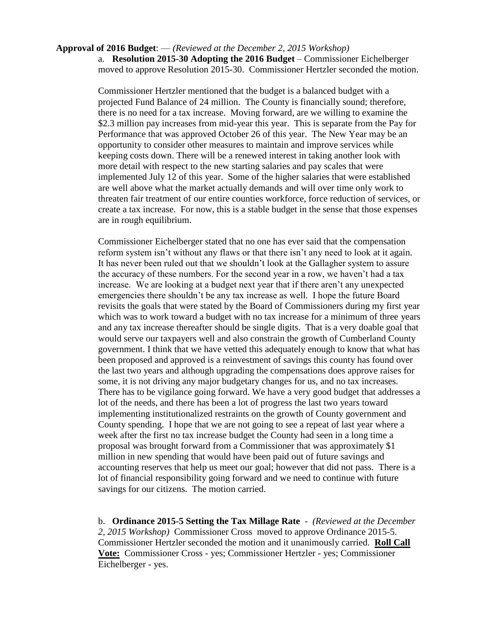#### **Approval of 2016 Budget**: — *(Reviewed at the December 2, 2015 Workshop)* a. **Resolution 2015-30 Adopting the 2016 Budget** – Commissioner Eichelberger moved to approve Resolution 2015-30. Commissioner Hertzler seconded the motion.

Commissioner Hertzler mentioned that the budget is a balanced budget with a projected Fund Balance of 24 million. The County is financially sound; therefore, there is no need for a tax increase. Moving forward, are we willing to examine the \$2.3 million pay increases from mid-year this year. This is separate from the Pay for Performance that was approved October 26 of this year. The New Year may be an opportunity to consider other measures to maintain and improve services while keeping costs down. There will be a renewed interest in taking another look with more detail with respect to the new starting salaries and pay scales that were implemented July 12 of this year. Some of the higher salaries that were established are well above what the market actually demands and will over time only work to threaten fair treatment of our entire counties workforce, force reduction of services, or create a tax increase. For now, this is a stable budget in the sense that those expenses are in rough equilibrium.

Commissioner Eichelberger stated that no one has ever said that the compensation reform system isn't without any flaws or that there isn't any need to look at it again. It has never been ruled out that we shouldn't look at the Gallagher system to assure the accuracy of these numbers. For the second year in a row, we haven't had a tax increase. We are looking at a budget next year that if there aren't any unexpected emergencies there shouldn't be any tax increase as well. I hope the future Board revisits the goals that were stated by the Board of Commissioners during my first year which was to work toward a budget with no tax increase for a minimum of three years and any tax increase thereafter should be single digits. That is a very doable goal that would serve our taxpayers well and also constrain the growth of Cumberland County government. I think that we have vetted this adequately enough to know that what has been proposed and approved is a reinvestment of savings this county has found over the last two years and although upgrading the compensations does approve raises for some, it is not driving any major budgetary changes for us, and no tax increases. There has to be vigilance going forward. We have a very good budget that addresses a lot of the needs, and there has been a lot of progress the last two years toward implementing institutionalized restraints on the growth of County government and County spending. I hope that we are not going to see a repeat of last year where a week after the first no tax increase budget the County had seen in a long time a proposal was brought forward from a Commissioner that was approximately \$1 million in new spending that would have been paid out of future savings and accounting reserves that help us meet our goal; however that did not pass. There is a lot of financial responsibility going forward and we need to continue with future savings for our citizens. The motion carried.

b. **Ordinance 2015-5 Setting the Tax Millage Rate** - *(Reviewed at the December 2, 2015 Workshop)* Commissioner Cross moved to approve Ordinance 2015-5. Commissioner Hertzler seconded the motion and it unanimously carried. **Roll Call Vote:** Commissioner Cross - yes; Commissioner Hertzler - yes; Commissioner Eichelberger - yes.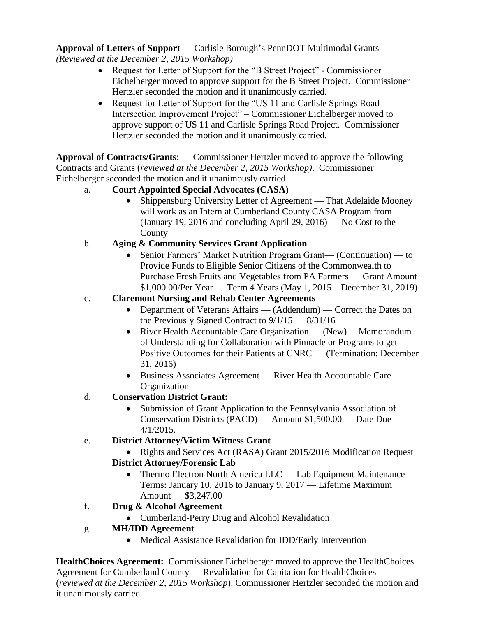**Approval of Letters of Support** — Carlisle Borough's PennDOT Multimodal Grants *(Reviewed at the December 2, 2015 Workshop)*

- Request for Letter of Support for the "B Street Project" Commissioner Eichelberger moved to approve support for the B Street Project. Commissioner Hertzler seconded the motion and it unanimously carried.
- Request for Letter of Support for the "US 11 and Carlisle Springs Road" Intersection Improvement Project" – Commissioner Eichelberger moved to approve support of US 11 and Carlisle Springs Road Project. Commissioner Hertzler seconded the motion and it unanimously carried.

**Approval of Contracts/Grants**: — Commissioner Hertzler moved to approve the following Contracts and Grants (*reviewed at the December 2, 2015 Workshop)*. Commissioner Eichelberger seconded the motion and it unanimously carried.

- a. **Court Appointed Special Advocates (CASA)** 
	- Shippensburg University Letter of Agreement That Adelaide Mooney will work as an Intern at Cumberland County CASA Program from — (January 19, 2016 and concluding April 29, 2016) — No Cost to the County
- b. **Aging & Community Services Grant Application**
	- Senior Farmers' Market Nutrition Program Grant— (Continuation) to Provide Funds to Eligible Senior Citizens of the Commonwealth to Purchase Fresh Fruits and Vegetables from PA Farmers — Grant Amount \$1,000.00/Per Year — Term 4 Years (May 1, 2015 – December 31, 2019)
- c. **Claremont Nursing and Rehab Center Agreements**
	- Department of Veterans Affairs (Addendum) Correct the Dates on the Previously Signed Contract to 9/1/15 — 8/31/16
	- River Health Accountable Care Organization (New) Memorandum of Understanding for Collaboration with Pinnacle or Programs to get Positive Outcomes for their Patients at CNRC — (Termination: December 31, 2016)
	- Business Associates Agreement River Health Accountable Care **Organization**
- d. **Conservation District Grant:**
	- Submission of Grant Application to the Pennsylvania Association of Conservation Districts (PACD) — Amount \$1,500.00 — Date Due 4/1/2015.

# e. **District Attorney/Victim Witness Grant**

- Rights and Services Act (RASA) Grant 2015/2016 Modification Request **District Attorney/Forensic Lab**
	- Thermo Electron North America LLC Lab Equipment Maintenance Terms: January 10, 2016 to January 9, 2017 — Lifetime Maximum Amount — \$3,247.00
- f. **Drug & Alcohol Agreement**
	- Cumberland-Perry Drug and Alcohol Revalidation
- g. **MH/IDD Agreement**
	- Medical Assistance Revalidation for IDD/Early Intervention

**HealthChoices Agreement:** Commissioner Eichelberger moved to approve the HealthChoices Agreement for Cumberland County — Revalidation for Capitation for HealthChoices (*reviewed at the December 2, 2015 Workshop*). Commissioner Hertzler seconded the motion and it unanimously carried.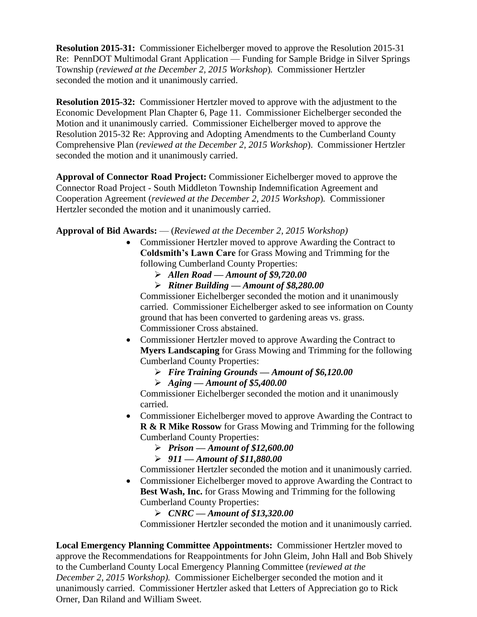**Resolution 2015-31:** Commissioner Eichelberger moved to approve the Resolution 2015-31 Re: PennDOT Multimodal Grant Application — Funding for Sample Bridge in Silver Springs Township (*reviewed at the December 2, 2015 Workshop*)*.* Commissioner Hertzler seconded the motion and it unanimously carried.

**Resolution 2015-32:** Commissioner Hertzler moved to approve with the adjustment to the Economic Development Plan Chapter 6, Page 11. Commissioner Eichelberger seconded the Motion and it unanimously carried. Commissioner Eichelberger moved to approve the Resolution 2015-32 Re: Approving and Adopting Amendments to the Cumberland County Comprehensive Plan (*reviewed at the December 2, 2015 Workshop*). Commissioner Hertzler seconded the motion and it unanimously carried.

**Approval of Connector Road Project:** Commissioner Eichelberger moved to approve the Connector Road Project - South Middleton Township Indemnification Agreement and Cooperation Agreement (*reviewed at the December 2, 2015 Workshop*)*.* Commissioner Hertzler seconded the motion and it unanimously carried.

### **Approval of Bid Awards:** — (*Reviewed at the December 2, 2015 Workshop)*

- Commissioner Hertzler moved to approve Awarding the Contract to **Coldsmith's Lawn Care** for Grass Mowing and Trimming for the following Cumberland County Properties:
	- *Allen Road — Amount of \$9,720.00*
	- *Ritner Building — Amount of \$8,280.00*

Commissioner Eichelberger seconded the motion and it unanimously carried. Commissioner Eichelberger asked to see information on County ground that has been converted to gardening areas vs. grass. Commissioner Cross abstained.

- Commissioner Hertzler moved to approve Awarding the Contract to **Myers Landscaping** for Grass Mowing and Trimming for the following Cumberland County Properties:
	- *Fire Training Grounds — Amount of \$6,120.00*
	- *Aging — Amount of \$5,400.00*

Commissioner Eichelberger seconded the motion and it unanimously carried.

- Commissioner Eichelberger moved to approve Awarding the Contract to **R & R Mike Rossow** for Grass Mowing and Trimming for the following Cumberland County Properties:
	- *Prison — Amount of \$12,600.00*
	- *911 — Amount of \$11,880.00*

Commissioner Hertzler seconded the motion and it unanimously carried.

• Commissioner Eichelberger moved to approve Awarding the Contract to **Best Wash, Inc.** for Grass Mowing and Trimming for the following Cumberland County Properties:

*CNRC — Amount of \$13,320.00*

Commissioner Hertzler seconded the motion and it unanimously carried.

**Local Emergency Planning Committee Appointments:** Commissioner Hertzler moved to approve the Recommendations for Reappointments for John Gleim, John Hall and Bob Shively to the Cumberland County Local Emergency Planning Committee (r*eviewed at the December 2, 2015 Workshop).* Commissioner Eichelberger seconded the motion and it unanimously carried. Commissioner Hertzler asked that Letters of Appreciation go to Rick Orner, Dan Riland and William Sweet.